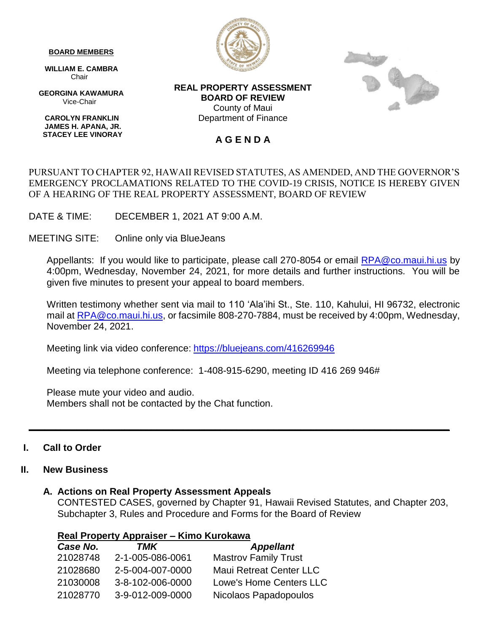#### **BOARD MEMBERS**

 **WILLIAM E. CAMBRA Chair** 

 **GEORGINA KAWAMURA** Vice-Chair

 **CAROLYN FRANKLIN JAMES H. APANA, JR. STACEY LEE VINORAY**



**REAL PROPERTY ASSESSMENT BOARD OF REVIEW** County of Maui Department of Finance

### **A G E N D A**

#### PURSUANT TO CHAPTER 92, HAWAII REVISED STATUTES, AS AMENDED, AND THE GOVERNOR'S EMERGENCY PROCLAMATIONS RELATED TO THE COVID-19 CRISIS, NOTICE IS HEREBY GIVEN OF A HEARING OF THE REAL PROPERTY ASSESSMENT, BOARD OF REVIEW

DATE & TIME: DECEMBER 1, 2021 AT 9:00 A.M.

MEETING SITE: Online only via BlueJeans

Appellants: If you would like to participate, please call 270-8054 or email [RPA@co.maui.hi.us](mailto:RPA@co.maui.hi.us) by 4:00pm, Wednesday, November 24, 2021, for more details and further instructions. You will be given five minutes to present your appeal to board members.

Written testimony whether sent via mail to 110 'Ala'ihi St., Ste. 110, Kahului, HI 96732, electronic mail at [RPA@co.maui.hi.us,](mailto:RPA@co.maui.hi.us) or facsimile 808-270-7884, must be received by 4:00pm, Wednesday, November 24, 2021.

Meeting link via video conference: <https://bluejeans.com/416269946>

Meeting via telephone conference: 1-408-915-6290, meeting ID 416 269 946#

Please mute your video and audio. Members shall not be contacted by the Chat function.

#### **I. Call to Order**

#### **II. New Business**

#### **A. Actions on Real Property Assessment Appeals**

CONTESTED CASES, governed by Chapter 91, Hawaii Revised Statutes, and Chapter 203, Subchapter 3, Rules and Procedure and Forms for the Board of Review

**\_\_\_\_\_\_\_\_\_\_\_\_\_\_\_\_\_\_\_\_\_\_\_\_\_\_\_\_\_\_\_\_\_\_\_\_\_\_\_\_\_\_\_\_\_\_\_\_\_\_\_\_\_\_\_\_\_\_\_\_\_\_\_\_\_\_\_\_\_\_\_\_\_\_\_\_\_\_\_**

| Real Property Appraiser - Kimo Kurokawa |                  |                                |  |  |
|-----------------------------------------|------------------|--------------------------------|--|--|
| Case No.                                | TMK              | <b>Appellant</b>               |  |  |
| 21028748                                | 2-1-005-086-0061 | <b>Mastrov Family Trust</b>    |  |  |
| 21028680                                | 2-5-004-007-0000 | <b>Maui Retreat Center LLC</b> |  |  |
| 21030008                                | 3-8-102-006-0000 | <b>Lowe's Home Centers LLC</b> |  |  |
| 21028770                                | 3-9-012-009-0000 | Nicolaos Papadopoulos          |  |  |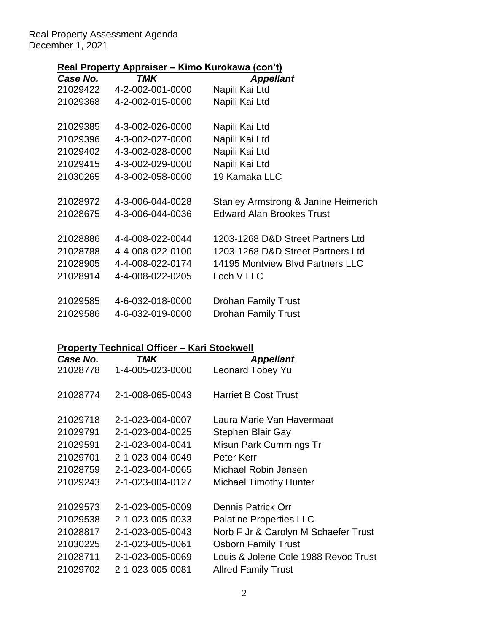#### Real Property Assessment Agenda December 1, 2021

## **Real Property Appraiser – Kimo Kurokawa (con't)**

|          | $\frac{1}{2}$             | $\frac{1}{2}$                        |
|----------|---------------------------|--------------------------------------|
| Case No. | TMK                       | <b>Appellant</b>                     |
|          | 21029422 4-2-002-001-0000 | Napili Kai Ltd                       |
| 21029368 | 4-2-002-015-0000          | Napili Kai Ltd                       |
|          |                           |                                      |
| 21029385 | 4-3-002-026-0000          | Napili Kai Ltd                       |
| 21029396 | 4-3-002-027-0000          | Napili Kai Ltd                       |
| 21029402 | 4-3-002-028-0000          | Napili Kai Ltd                       |
| 21029415 | 4-3-002-029-0000          | Napili Kai Ltd                       |
| 21030265 | 4-3-002-058-0000          | 19 Kamaka LLC                        |
|          |                           |                                      |
| 21028972 | 4-3-006-044-0028          | Stanley Armstrong & Janine Heimerich |
| 21028675 | 4-3-006-044-0036          | <b>Edward Alan Brookes Trust</b>     |
|          |                           |                                      |
| 21028886 | 4-4-008-022-0044          | 1203-1268 D&D Street Partners Ltd    |
| 21028788 | 4-4-008-022-0100          | 1203-1268 D&D Street Partners Ltd    |
| 21028905 | 4-4-008-022-0174          | 14195 Montview Blvd Partners LLC     |
| 21028914 | 4-4-008-022-0205          | Loch V LLC                           |
|          |                           |                                      |
| 21029585 | 4-6-032-018-0000          | <b>Drohan Family Trust</b>           |
| 21029586 | 4-6-032-019-0000          | <b>Drohan Family Trust</b>           |
|          |                           |                                      |

# **Property Technical Officer – Kari Stockwell**

| Case No. | TMK              | <b>Appellant</b>                     |
|----------|------------------|--------------------------------------|
| 21028778 | 1-4-005-023-0000 | Leonard Tobey Yu                     |
| 21028774 | 2-1-008-065-0043 | <b>Harriet B Cost Trust</b>          |
| 21029718 | 2-1-023-004-0007 | Laura Marie Van Havermaat            |
| 21029791 | 2-1-023-004-0025 | Stephen Blair Gay                    |
| 21029591 | 2-1-023-004-0041 | Misun Park Cummings Tr               |
| 21029701 | 2-1-023-004-0049 | Peter Kerr                           |
| 21028759 | 2-1-023-004-0065 | Michael Robin Jensen                 |
| 21029243 | 2-1-023-004-0127 | <b>Michael Timothy Hunter</b>        |
| 21029573 | 2-1-023-005-0009 | <b>Dennis Patrick Orr</b>            |
| 21029538 | 2-1-023-005-0033 | <b>Palatine Properties LLC</b>       |
| 21028817 | 2-1-023-005-0043 | Norb F Jr & Carolyn M Schaefer Trust |
| 21030225 | 2-1-023-005-0061 | <b>Osborn Family Trust</b>           |
| 21028711 | 2-1-023-005-0069 | Louis & Jolene Cole 1988 Revoc Trust |
| 21029702 | 2-1-023-005-0081 | <b>Allred Family Trust</b>           |